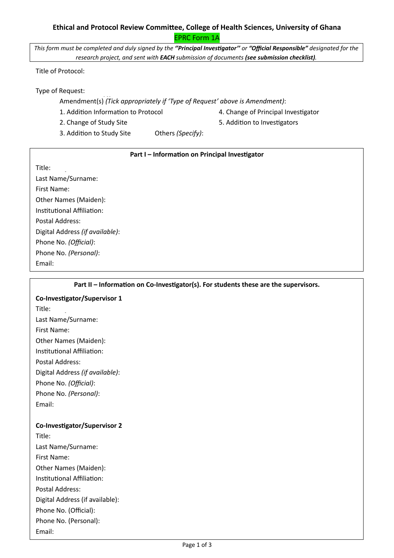## **Ethical and Protocol Review Committee, College of Health Sciences, University of Ghana** EPRC Form 1A

*This form must be completed and duly signed by the ''Principal Investigator'' or "Official Responsible" designated for the research project, and sent with EACH submission of documents (see submission checklist).*

Title of Protocol:

Type of Request:

Amendment(s) (Tick appropriately if 'Type of Request' above is Amendment):

1. Addition Information to Protocol **4. Change of Principal Investigator** 

- 
- 2. Change of Study Site **by Change of Study Site 1988** S. Addition to Investigators
- 3. Addition to Study Site Others *(Specify)*:

### **Part I – Information on Principal Investigator**

Title:

Last Name/Surname: First Name: Other Names (Maiden): Institutional Affiliation: Postal Address: Digital Address *(if available)*: Phone No. *(Official)*: Phone No. *(Personal)*: Email:

#### **Part II – Information on Co-Investigator(s). For students these are the supervisors.**

## **Co-Investigator/Supervisor 1**

Title: Last Name/Surname: First Name: Other Names (Maiden): Institutional Affiliation: Postal Address: Digital Address *(if available)*: Phone No. *(Official)*: Phone No. *(Personal)*: Email:

## **Co-Investigator/Supervisor 2**

Title: Last Name/Surname: First Name: Other Names (Maiden): Institutional Affiliation: Postal Address: Digital Address (if available): Phone No. (Official): Phone No. (Personal): Email: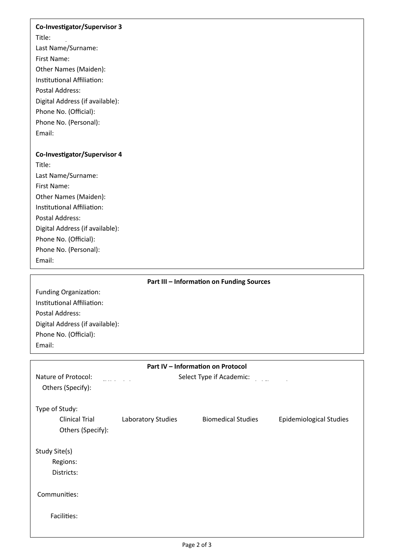#### **Co-Investigator/Supervisor 3**

Title:

Last Name/Surname: First Name: Other Names (Maiden): Institutional Affiliation: Postal Address:

Digital Address (if available):

Phone No. (Official):

Phone No. (Personal):

Email:

#### **Co-Investigator/Supervisor 4**

Title: Last Name/Surname: First Name: Other Names (Maiden): Institutional Affiliation: Postal Address: Digital Address (if available): Phone No. (Official): Phone No. (Personal): Email:

# **Part III – Information on Funding Sources**

Funding Organization: Institutional Affiliation: Postal Address: Digital Address (if available): Phone No. (Official): Email:

| Part IV - Information on Protocol |                          |                           |                                |
|-----------------------------------|--------------------------|---------------------------|--------------------------------|
| Nature of Protocol:               | Select Type if Academic: |                           |                                |
| Others (Specify):                 |                          |                           |                                |
| Type of Study:                    |                          |                           |                                |
| <b>Clinical Trial</b>             | Laboratory Studies       | <b>Biomedical Studies</b> | <b>Epidemiological Studies</b> |
| Others (Specify):                 |                          |                           |                                |
| Study Site(s)                     |                          |                           |                                |
| Regions:                          |                          |                           |                                |
| Districts:                        |                          |                           |                                |
| Communities:                      |                          |                           |                                |
| Facilities:                       |                          |                           |                                |
|                                   |                          |                           |                                |